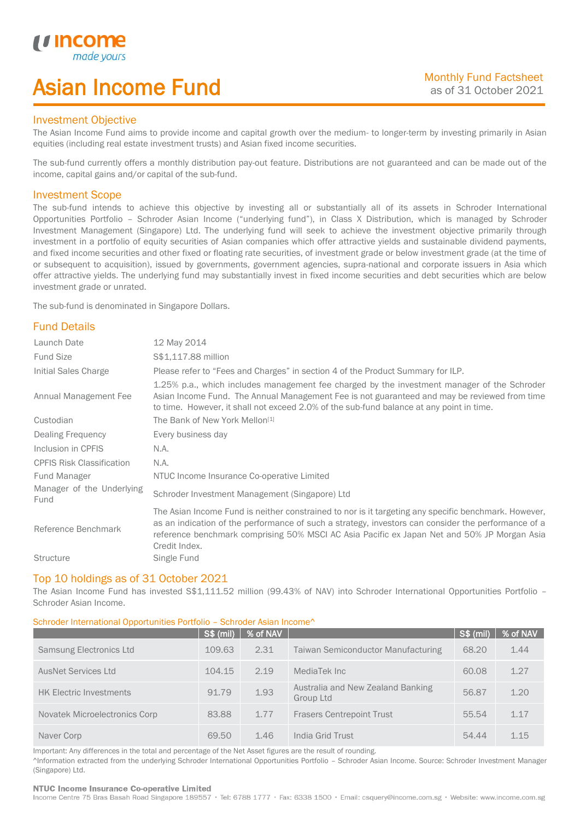# Asian Income Fund

## Investment Objective

*u* incor

I

The Asian Income Fund aims to provide income and capital growth over the medium- to longer-term by investing primarily in Asian equities (including real estate investment trusts) and Asian fixed income securities.

The sub-fund currently offers a monthly distribution pay-out feature. Distributions are not guaranteed and can be made out of the income, capital gains and/or capital of the sub-fund.

## Investment Scope

The sub-fund intends to achieve this objective by investing all or substantially all of its assets in Schroder International Opportunities Portfolio – Schroder Asian Income ("underlying fund"), in Class X Distribution, which is managed by Schroder Investment Management (Singapore) Ltd. The underlying fund will seek to achieve the investment objective primarily through investment in a portfolio of equity securities of Asian companies which offer attractive yields and sustainable dividend payments, and fixed income securities and other fixed or floating rate securities, of investment grade or below investment grade (at the time of or subsequent to acquisition), issued by governments, government agencies, supra-national and corporate issuers in Asia which offer attractive yields. The underlying fund may substantially invest in fixed income securities and debt securities which are below investment grade or unrated.

The sub-fund is denominated in Singapore Dollars.

# Fund Details

| Launch Date                       | 12 May 2014                                                                                                                                                                                                                                                                                                                 |
|-----------------------------------|-----------------------------------------------------------------------------------------------------------------------------------------------------------------------------------------------------------------------------------------------------------------------------------------------------------------------------|
| <b>Fund Size</b>                  | \$\$1,117.88 million                                                                                                                                                                                                                                                                                                        |
| Initial Sales Charge              | Please refer to "Fees and Charges" in section 4 of the Product Summary for ILP.                                                                                                                                                                                                                                             |
| Annual Management Fee             | 1.25% p.a., which includes management fee charged by the investment manager of the Schroder<br>Asian Income Fund. The Annual Management Fee is not guaranteed and may be reviewed from time<br>to time. However, it shall not exceed 2.0% of the sub-fund balance at any point in time.                                     |
| Custodian                         | The Bank of New York Mellon <sup>[1]</sup>                                                                                                                                                                                                                                                                                  |
| Dealing Frequency                 | Every business day                                                                                                                                                                                                                                                                                                          |
| Inclusion in CPFIS                | N.A.                                                                                                                                                                                                                                                                                                                        |
| <b>CPFIS Risk Classification</b>  | N.A.                                                                                                                                                                                                                                                                                                                        |
| Fund Manager                      | NTUC Income Insurance Co-operative Limited                                                                                                                                                                                                                                                                                  |
| Manager of the Underlying<br>Fund | Schroder Investment Management (Singapore) Ltd                                                                                                                                                                                                                                                                              |
| Reference Benchmark               | The Asian Income Fund is neither constrained to nor is it targeting any specific benchmark. However,<br>as an indication of the performance of such a strategy, investors can consider the performance of a<br>reference benchmark comprising 50% MSCI AC Asia Pacific ex Japan Net and 50% JP Morgan Asia<br>Credit Index. |
| <b>Structure</b>                  | Single Fund                                                                                                                                                                                                                                                                                                                 |

### Top 10 holdings as of 31 October 2021

The Asian Income Fund has invested S\$1,111.52 million (99.43% of NAV) into Schroder International Opportunities Portfolio – Schroder Asian Income.

### Schroder International Opportunities Portfolio – Schroder Asian Income^

|                                | <b>S\$ (mil)</b> | % of NAV |                                                | <b>S\$ (mil)</b> | % of NAV |
|--------------------------------|------------------|----------|------------------------------------------------|------------------|----------|
| Samsung Electronics Ltd        | 109.63           | 2.31     | <b>Taiwan Semiconductor Manufacturing</b>      | 68.20            | 1.44     |
| <b>AusNet Services Ltd</b>     | 104.15           | 2.19     | MediaTek Inc                                   | 60.08            | 1.27     |
| <b>HK Electric Investments</b> | 91.79            | 1.93     | Australia and New Zealand Banking<br>Group Ltd | 56.87            | 1.20     |
| Novatek Microelectronics Corp  | 83.88            | 1.77     | <b>Frasers Centrepoint Trust</b>               | 55.54            | 1.17     |
| Naver Corp                     | 69.50            | 1.46     | India Grid Trust                               | 54.44            | 1.15     |

Important: Any differences in the total and percentage of the Net Asset figures are the result of rounding. ^Information extracted from the underlying Schroder International Opportunities Portfolio – Schroder Asian Income. Source: Schroder Investment Manager (Singapore) Ltd.

### NTUC Income Insurance Co-operative Limited

Income Centre 75 Bras Basah Road Singapore 189557 · Tel: 6788 1777 · Fax: 6338 1500 · Email: csquery@income.com.sg · Website: www.income.com.sg